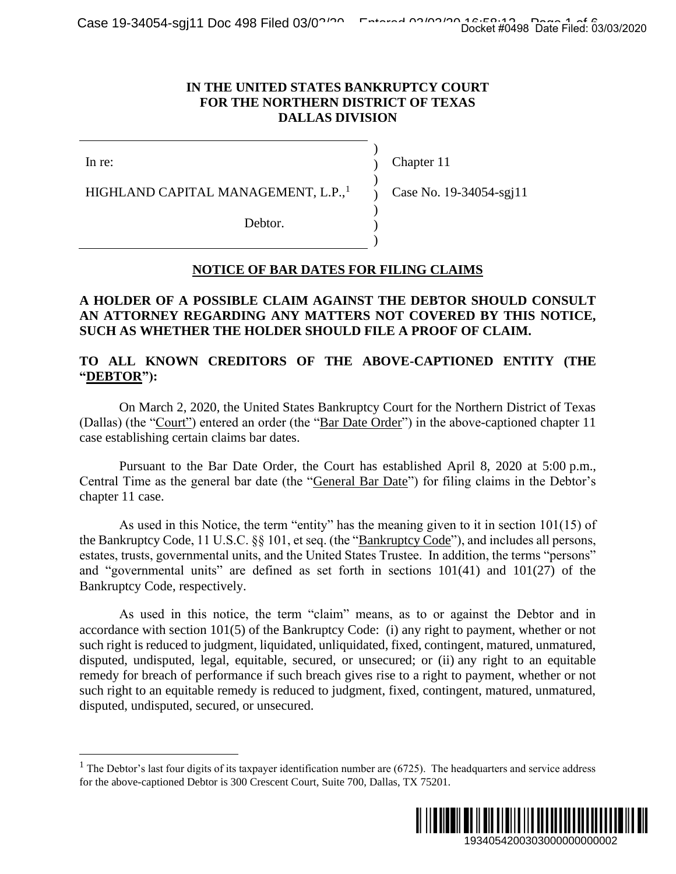#### **IN THE UNITED STATES BANKRUPTCY COURT FOR THE NORTHERN DISTRICT OF TEXAS DALLAS DIVISION**

In re:

Chapter 11

HIGHLAND CAPITAL MANAGEMENT, L.P.,<sup>1</sup>

) Case No. 19-34054-sgj11

) ) )

 $\mathcal{L}$ ) )

Debtor.

# **NOTICE OF BAR DATES FOR FILING CLAIMS**

## **A HOLDER OF A POSSIBLE CLAIM AGAINST THE DEBTOR SHOULD CONSULT AN ATTORNEY REGARDING ANY MATTERS NOT COVERED BY THIS NOTICE, SUCH AS WHETHER THE HOLDER SHOULD FILE A PROOF OF CLAIM.**

## **TO ALL KNOWN CREDITORS OF THE ABOVE-CAPTIONED ENTITY (THE "DEBTOR"):**

On March 2, 2020, the United States Bankruptcy Court for the Northern District of Texas (Dallas) (the "Court") entered an order (the "Bar Date Order") in the above-captioned chapter 11 case establishing certain claims bar dates.

Pursuant to the Bar Date Order, the Court has established April 8, 2020 at 5:00 p.m., Central Time as the general bar date (the "General Bar Date") for filing claims in the Debtor's chapter 11 case.

As used in this Notice, the term "entity" has the meaning given to it in section 101(15) of the Bankruptcy Code, 11 U.S.C. §§ 101, et seq. (the "Bankruptcy Code"), and includes all persons, estates, trusts, governmental units, and the United States Trustee. In addition, the terms "persons" and "governmental units" are defined as set forth in sections 101(41) and 101(27) of the Bankruptcy Code, respectively.

As used in this notice, the term "claim" means, as to or against the Debtor and in accordance with section 101(5) of the Bankruptcy Code: (i) any right to payment, whether or not such right is reduced to judgment, liquidated, unliquidated, fixed, contingent, matured, unmatured, disputed, undisputed, legal, equitable, secured, or unsecured; or (ii) any right to an equitable remedy for breach of performance if such breach gives rise to a right to payment, whether or not such right to an equitable remedy is reduced to judgment, fixed, contingent, matured, unmatured, disputed, undisputed, secured, or unsecured. Docket #0498 Date Filed: 03/03/2020<br>
URT<br>
URT<br>
SS<br>
34054-sgj11<br>
DS<br>
28 SHOULD CONSULT<br>
ED BY THIS NOTICE,<br>
OF CLAIM.<br>
DNED ENTITY (THE<br>
Northern District of Texas<br>
ove-captioned chapter 11<br>
pril 8, 2020 at 5:00 p.m.,<br>
ng

<sup>&</sup>lt;sup>1</sup> The Debtor's last four digits of its taxpayer identification number are (6725). The headquarters and service address for the above-captioned Debtor is 300 Crescent Court, Suite 700, Dallas, TX 75201.

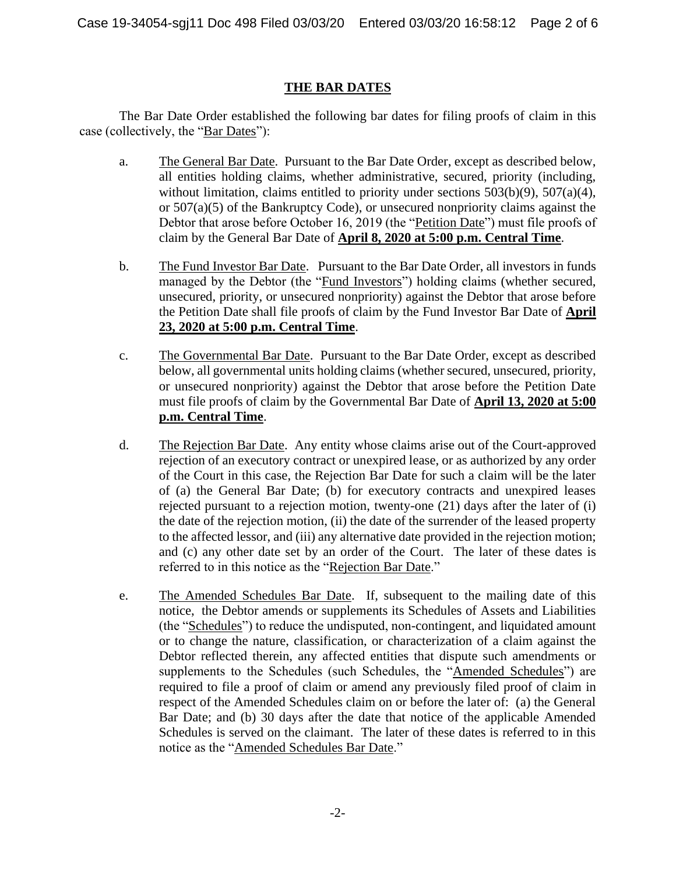# **THE BAR DATES**

The Bar Date Order established the following bar dates for filing proofs of claim in this case (collectively, the "Bar Dates"):

- a. The General Bar Date. Pursuant to the Bar Date Order, except as described below, all entities holding claims, whether administrative, secured, priority (including, without limitation, claims entitled to priority under sections 503(b)(9), 507(a)(4), or 507(a)(5) of the Bankruptcy Code), or unsecured nonpriority claims against the Debtor that arose before October 16, 2019 (the "Petition Date") must file proofs of claim by the General Bar Date of **April 8, 2020 at 5:00 p.m. Central Time**.
- b. The Fund Investor Bar Date. Pursuant to the Bar Date Order, all investors in funds managed by the Debtor (the "Fund Investors") holding claims (whether secured, unsecured, priority, or unsecured nonpriority) against the Debtor that arose before the Petition Date shall file proofs of claim by the Fund Investor Bar Date of **April 23, 2020 at 5:00 p.m. Central Time**.
- c. The Governmental Bar Date. Pursuant to the Bar Date Order, except as described below, all governmental units holding claims (whether secured, unsecured, priority, or unsecured nonpriority) against the Debtor that arose before the Petition Date must file proofs of claim by the Governmental Bar Date of **April 13, 2020 at 5:00 p.m. Central Time**.
- d. The Rejection Bar Date. Any entity whose claims arise out of the Court-approved rejection of an executory contract or unexpired lease, or as authorized by any order of the Court in this case, the Rejection Bar Date for such a claim will be the later of (a) the General Bar Date; (b) for executory contracts and unexpired leases rejected pursuant to a rejection motion, twenty-one (21) days after the later of (i) the date of the rejection motion, (ii) the date of the surrender of the leased property to the affected lessor, and (iii) any alternative date provided in the rejection motion; and (c) any other date set by an order of the Court. The later of these dates is referred to in this notice as the "Rejection Bar Date."
- e. The Amended Schedules Bar Date. If, subsequent to the mailing date of this notice, the Debtor amends or supplements its Schedules of Assets and Liabilities (the "Schedules") to reduce the undisputed, non-contingent, and liquidated amount or to change the nature, classification, or characterization of a claim against the Debtor reflected therein, any affected entities that dispute such amendments or supplements to the Schedules (such Schedules, the "Amended Schedules") are required to file a proof of claim or amend any previously filed proof of claim in respect of the Amended Schedules claim on or before the later of: (a) the General Bar Date; and (b) 30 days after the date that notice of the applicable Amended Schedules is served on the claimant. The later of these dates is referred to in this notice as the "Amended Schedules Bar Date."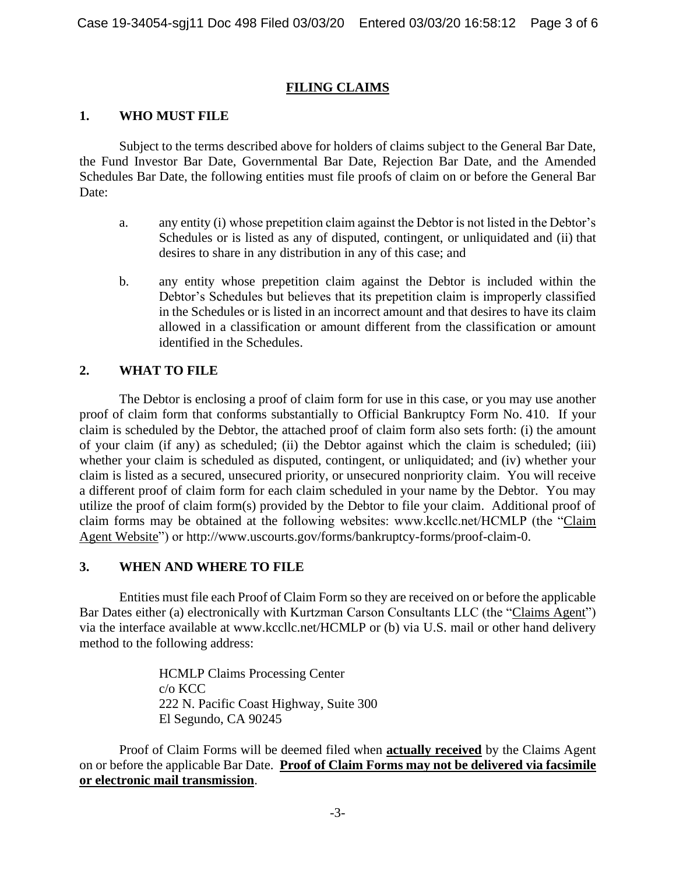## **FILING CLAIMS**

## **1. WHO MUST FILE**

Subject to the terms described above for holders of claims subject to the General Bar Date, the Fund Investor Bar Date, Governmental Bar Date, Rejection Bar Date, and the Amended Schedules Bar Date, the following entities must file proofs of claim on or before the General Bar Date:

- a. any entity (i) whose prepetition claim against the Debtor is not listed in the Debtor's Schedules or is listed as any of disputed, contingent, or unliquidated and (ii) that desires to share in any distribution in any of this case; and
- b. any entity whose prepetition claim against the Debtor is included within the Debtor's Schedules but believes that its prepetition claim is improperly classified in the Schedules or is listed in an incorrect amount and that desires to have its claim allowed in a classification or amount different from the classification or amount identified in the Schedules.

## **2. WHAT TO FILE**

The Debtor is enclosing a proof of claim form for use in this case, or you may use another proof of claim form that conforms substantially to Official Bankruptcy Form No. 410. If your claim is scheduled by the Debtor, the attached proof of claim form also sets forth: (i) the amount of your claim (if any) as scheduled; (ii) the Debtor against which the claim is scheduled; (iii) whether your claim is scheduled as disputed, contingent, or unliquidated; and (iv) whether your claim is listed as a secured, unsecured priority, or unsecured nonpriority claim. You will receive a different proof of claim form for each claim scheduled in your name by the Debtor. You may utilize the proof of claim form(s) provided by the Debtor to file your claim. Additional proof of claim forms may be obtained at the following websites: www.kccllc.net/HCMLP (the "Claim Agent Website") or http://www.uscourts.gov/forms/bankruptcy-forms/proof-claim-0.

## **3. WHEN AND WHERE TO FILE**

Entities must file each Proof of Claim Form so they are received on or before the applicable Bar Dates either (a) electronically with Kurtzman Carson Consultants LLC (the "Claims Agent") via the interface available at www.kccllc.net/HCMLP or (b) via U.S. mail or other hand delivery method to the following address:

> HCMLP Claims Processing Center c/o KCC 222 N. Pacific Coast Highway, Suite 300 El Segundo, CA 90245

Proof of Claim Forms will be deemed filed when **actually received** by the Claims Agent on or before the applicable Bar Date. **Proof of Claim Forms may not be delivered via facsimile or electronic mail transmission**.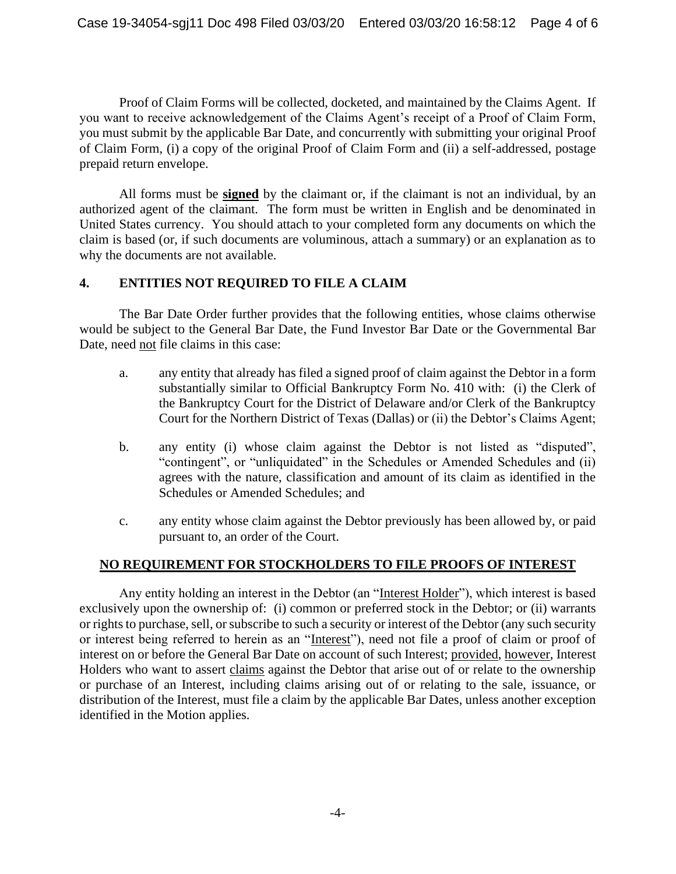Proof of Claim Forms will be collected, docketed, and maintained by the Claims Agent. If you want to receive acknowledgement of the Claims Agent's receipt of a Proof of Claim Form, you must submit by the applicable Bar Date, and concurrently with submitting your original Proof of Claim Form, (i) a copy of the original Proof of Claim Form and (ii) a self-addressed, postage prepaid return envelope.

All forms must be **signed** by the claimant or, if the claimant is not an individual, by an authorized agent of the claimant. The form must be written in English and be denominated in United States currency. You should attach to your completed form any documents on which the claim is based (or, if such documents are voluminous, attach a summary) or an explanation as to why the documents are not available.

## **4. ENTITIES NOT REQUIRED TO FILE A CLAIM**

The Bar Date Order further provides that the following entities, whose claims otherwise would be subject to the General Bar Date, the Fund Investor Bar Date or the Governmental Bar Date, need not file claims in this case:

- a. any entity that already has filed a signed proof of claim against the Debtor in a form substantially similar to Official Bankruptcy Form No. 410 with: (i) the Clerk of the Bankruptcy Court for the District of Delaware and/or Clerk of the Bankruptcy Court for the Northern District of Texas (Dallas) or (ii) the Debtor's Claims Agent;
- b. any entity (i) whose claim against the Debtor is not listed as "disputed", "contingent", or "unliquidated" in the Schedules or Amended Schedules and (ii) agrees with the nature, classification and amount of its claim as identified in the Schedules or Amended Schedules; and
- c. any entity whose claim against the Debtor previously has been allowed by, or paid pursuant to, an order of the Court.

## **NO REQUIREMENT FOR STOCKHOLDERS TO FILE PROOFS OF INTEREST**

Any entity holding an interest in the Debtor (an "Interest Holder"), which interest is based exclusively upon the ownership of: (i) common or preferred stock in the Debtor; or (ii) warrants or rights to purchase, sell, or subscribe to such a security or interest of the Debtor (any such security or interest being referred to herein as an "Interest"), need not file a proof of claim or proof of interest on or before the General Bar Date on account of such Interest; provided, however, Interest Holders who want to assert claims against the Debtor that arise out of or relate to the ownership or purchase of an Interest, including claims arising out of or relating to the sale, issuance, or distribution of the Interest, must file a claim by the applicable Bar Dates, unless another exception identified in the Motion applies.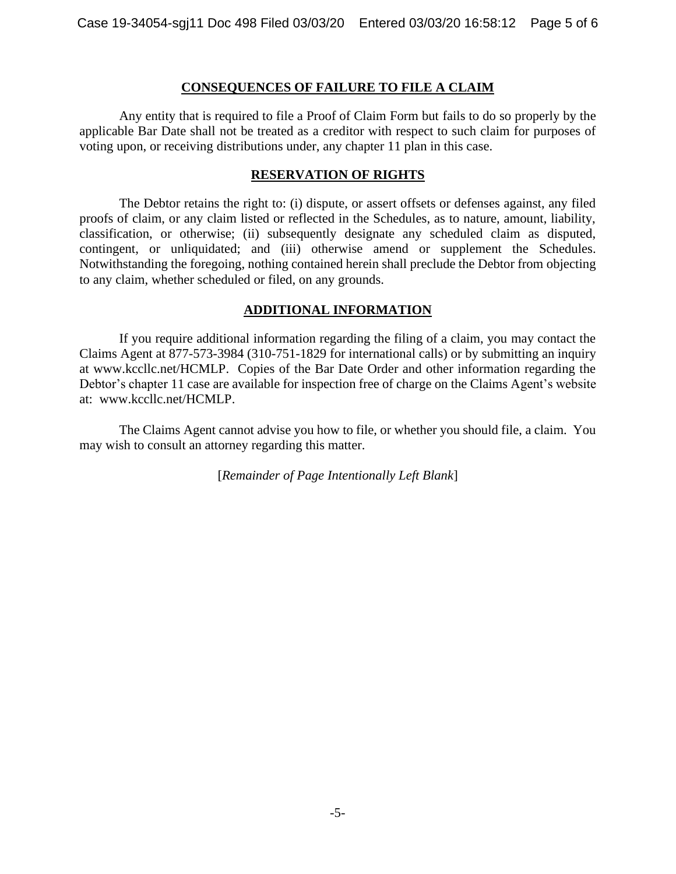#### **CONSEQUENCES OF FAILURE TO FILE A CLAIM**

Any entity that is required to file a Proof of Claim Form but fails to do so properly by the applicable Bar Date shall not be treated as a creditor with respect to such claim for purposes of voting upon, or receiving distributions under, any chapter 11 plan in this case.

#### **RESERVATION OF RIGHTS**

The Debtor retains the right to: (i) dispute, or assert offsets or defenses against, any filed proofs of claim, or any claim listed or reflected in the Schedules, as to nature, amount, liability, classification, or otherwise; (ii) subsequently designate any scheduled claim as disputed, contingent, or unliquidated; and (iii) otherwise amend or supplement the Schedules. Notwithstanding the foregoing, nothing contained herein shall preclude the Debtor from objecting to any claim, whether scheduled or filed, on any grounds.

#### **ADDITIONAL INFORMATION**

If you require additional information regarding the filing of a claim, you may contact the Claims Agent at 877-573-3984 (310-751-1829 for international calls) or by submitting an inquiry at www.kccllc.net/HCMLP. Copies of the Bar Date Order and other information regarding the Debtor's chapter 11 case are available for inspection free of charge on the Claims Agent's website at: www.kccllc.net/HCMLP.

The Claims Agent cannot advise you how to file, or whether you should file, a claim. You may wish to consult an attorney regarding this matter.

[*Remainder of Page Intentionally Left Blank*]